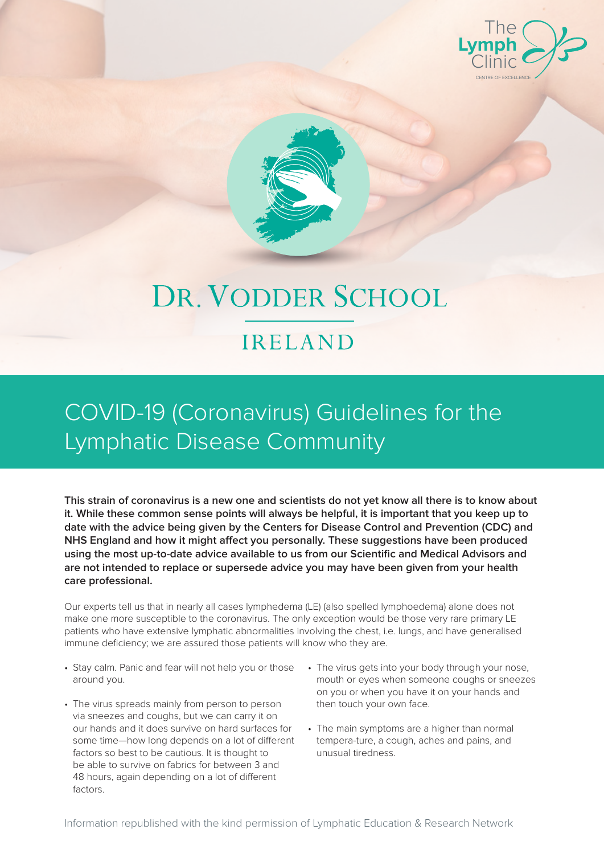



# DR. VODDER SCHOOL

#### IRELAND

#### COVID-19 (Coronavirus) Guidelines for the Lymphatic Disease Community

**This strain of coronavirus is a new one and scientists do not yet know all there is to know about it. While these common sense points will always be helpful, it is important that you keep up to date with the advice being given by the Centers for Disease Control and Prevention (CDC) and NHS England and how it might affect you personally. These suggestions have been produced using the most up-to-date advice available to us from our Scientific and Medical Advisors and are not intended to replace or supersede advice you may have been given from your health care professional.** 

Our experts tell us that in nearly all cases lymphedema (LE) (also spelled lymphoedema) alone does not make one more susceptible to the coronavirus. The only exception would be those very rare primary LE patients who have extensive lymphatic abnormalities involving the chest, i.e. lungs, and have generalised immune deficiency; we are assured those patients will know who they are.

- Stay calm. Panic and fear will not help you or those around you.
- The virus spreads mainly from person to person via sneezes and coughs, but we can carry it on our hands and it does survive on hard surfaces for some time—how long depends on a lot of different factors so best to be cautious. It is thought to be able to survive on fabrics for between 3 and 48 hours, again depending on a lot of different factors.
- The virus gets into your body through your nose, mouth or eyes when someone coughs or sneezes on you or when you have it on your hands and then touch your own face.
- The main symptoms are a higher than normal tempera-ture, a cough, aches and pains, and unusual tiredness.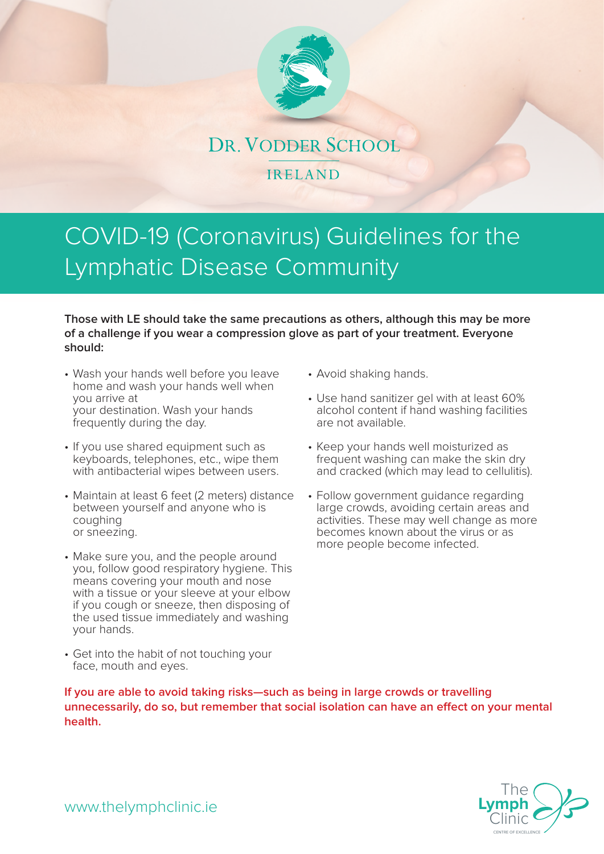

## COVID-19 (Coronavirus) Guidelines for the Lymphatic Disease Community

**Those with LE should take the same precautions as others, although this may be more of a challenge if you wear a compression glove as part of your treatment. Everyone should:**

- Wash your hands well before you leave home and wash your hands well when you arrive at your destination. Wash your hands frequently during the day.
- If you use shared equipment such as keyboards, telephones, etc., wipe them with antibacterial wipes between users.
- Maintain at least 6 feet (2 meters) distance between yourself and anyone who is coughing or sneezing.
- Make sure you, and the people around you, follow good respiratory hygiene. This means covering your mouth and nose with a tissue or your sleeve at your elbow if you cough or sneeze, then disposing of the used tissue immediately and washing your hands.
- Get into the habit of not touching your face, mouth and eyes.
- Avoid shaking hands.
- Use hand sanitizer gel with at least 60% alcohol content if hand washing facilities are not available.
- Keep your hands well moisturized as frequent washing can make the skin dry and cracked (which may lead to cellulitis).
- Follow government guidance regarding large crowds, avoiding certain areas and activities. These may well change as more becomes known about the virus or as more people become infected.

**If you are able to avoid taking risks—such as being in large crowds or travelling unnecessarily, do so, but remember that social isolation can have an effect on your mental health.**



www.thelymphclinic.ie